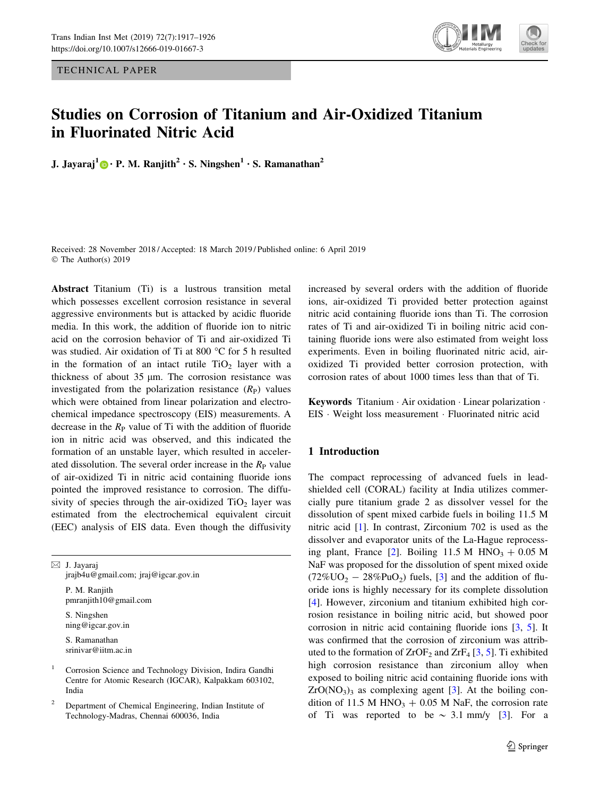TECHNICAL PAPER



# Studies on Corrosion of Titanium and Air-Oxidized Titanium in Fluorinated Nitric Acid

J. Jayaraj<sup>1</sup> [•](http://orcid.org/0000-0002-9436-4862) P. M. Ranjith<sup>2</sup> • S. Ningshen<sup>1</sup> • S. Ramanathan<sup>2</sup>

Received: 28 November 2018 / Accepted: 18 March 2019 / Published online: 6 April 2019 © The Author(s) 2019

Abstract Titanium (Ti) is a lustrous transition metal which possesses excellent corrosion resistance in several aggressive environments but is attacked by acidic fluoride media. In this work, the addition of fluoride ion to nitric acid on the corrosion behavior of Ti and air-oxidized Ti was studied. Air oxidation of Ti at 800 °C for 5 h resulted in the formation of an intact rutile  $TiO<sub>2</sub>$  layer with a thickness of about  $35 \mu m$ . The corrosion resistance was investigated from the polarization resistance  $(R_P)$  values which were obtained from linear polarization and electrochemical impedance spectroscopy (EIS) measurements. A decrease in the  $R_{P}$  value of Ti with the addition of fluoride ion in nitric acid was observed, and this indicated the formation of an unstable layer, which resulted in accelerated dissolution. The several order increase in the  $R_{\rm P}$  value of air-oxidized Ti in nitric acid containing fluoride ions pointed the improved resistance to corrosion. The diffusivity of species through the air-oxidized  $TiO<sub>2</sub>$  layer was estimated from the electrochemical equivalent circuit (EEC) analysis of EIS data. Even though the diffusivity

 $\boxtimes$  J. Jayaraj jrajb4u@gmail.com; jraj@igcar.gov.in P. M. Ranjith pmranjith10@gmail.com S. Ningshen ning@igcar.gov.in S. Ramanathan srinivar@iitm.ac.in

<sup>1</sup> Corrosion Science and Technology Division, Indira Gandhi Centre for Atomic Research (IGCAR), Kalpakkam 603102, India

<sup>2</sup> Department of Chemical Engineering, Indian Institute of Technology-Madras, Chennai 600036, India

increased by several orders with the addition of fluoride ions, air-oxidized Ti provided better protection against nitric acid containing fluoride ions than Ti. The corrosion rates of Ti and air-oxidized Ti in boiling nitric acid containing fluoride ions were also estimated from weight loss experiments. Even in boiling fluorinated nitric acid, airoxidized Ti provided better corrosion protection, with corrosion rates of about 1000 times less than that of Ti.

Keywords Titanium - Air oxidation - Linear polarization - EIS - Weight loss measurement - Fluorinated nitric acid

# 1 Introduction

The compact reprocessing of advanced fuels in leadshielded cell (CORAL) facility at India utilizes commercially pure titanium grade 2 as dissolver vessel for the dissolution of spent mixed carbide fuels in boiling 11.5 M nitric acid [[1\]](#page-9-0). In contrast, Zirconium 702 is used as the dissolver and evaporator units of the La-Hague reprocess-ing plant, France [\[2](#page-9-0)]. Boiling 11.5 M  $HNO<sub>3</sub> + 0.05 M$ NaF was proposed for the dissolution of spent mixed oxide  $(72\%<sup>U</sup><sub>2</sub> - 28\%<sup>U</sup><sub>2</sub>)$  fuels, [[3\]](#page-9-0) and the addition of fluoride ions is highly necessary for its complete dissolution [\[4](#page-9-0)]. However, zirconium and titanium exhibited high corrosion resistance in boiling nitric acid, but showed poor corrosion in nitric acid containing fluoride ions [[3,](#page-9-0) [5](#page-9-0)]. It was confirmed that the corrosion of zirconium was attributed to the formation of  $ZrOF<sub>2</sub>$  and  $ZrF<sub>4</sub>$  [[3,](#page-9-0) [5](#page-9-0)]. Ti exhibited high corrosion resistance than zirconium alloy when exposed to boiling nitric acid containing fluoride ions with  $ZrO(NO<sub>3</sub>)<sub>3</sub>$  as complexing agent [\[3](#page-9-0)]. At the boiling condition of 11.5 M HNO<sub>3</sub> + 0.05 M NaF, the corrosion rate of Ti was reported to be  $\sim$  [3](#page-9-0).1 mm/y [3]. For a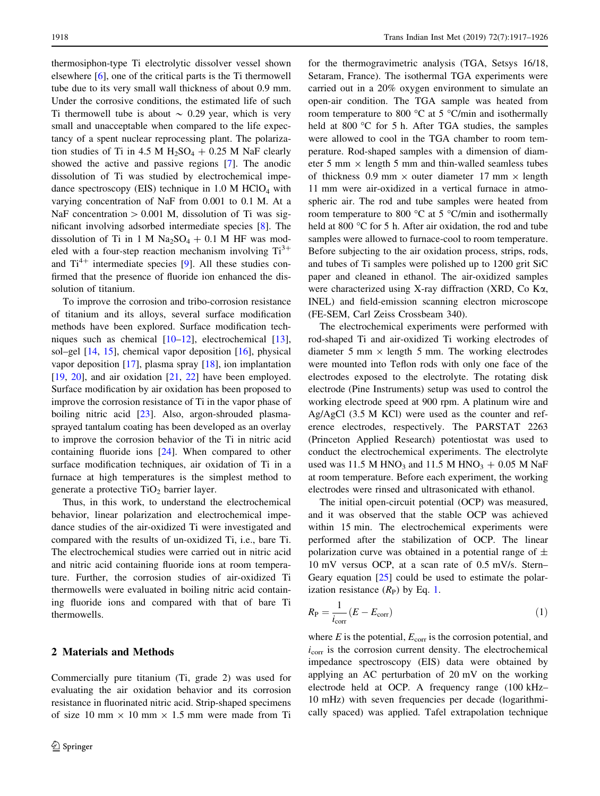thermosiphon-type Ti electrolytic dissolver vessel shown elsewhere [\[6](#page-9-0)], one of the critical parts is the Ti thermowell tube due to its very small wall thickness of about 0.9 mm. Under the corrosive conditions, the estimated life of such Ti thermowell tube is about  $\sim 0.29$  year, which is very small and unacceptable when compared to the life expectancy of a spent nuclear reprocessing plant. The polarization studies of Ti in 4.5 M  $H_2SO_4 + 0.25$  M NaF clearly showed the active and passive regions [[7\]](#page-9-0). The anodic dissolution of Ti was studied by electrochemical impedance spectroscopy (EIS) technique in  $1.0 \text{ M HClO}_4$  with varying concentration of NaF from 0.001 to 0.1 M. At a NaF concentration  $> 0.001$  M, dissolution of Ti was significant involving adsorbed intermediate species [[8\]](#page-9-0). The dissolution of Ti in 1 M  $Na<sub>2</sub>SO<sub>4</sub> + 0.1$  M HF was modeled with a four-step reaction mechanism involving  $Ti^{3+}$ and  $Ti^{4+}$  intermediate species [[9\]](#page-9-0). All these studies confirmed that the presence of fluoride ion enhanced the dissolution of titanium.

To improve the corrosion and tribo-corrosion resistance of titanium and its alloys, several surface modification methods have been explored. Surface modification techniques such as chemical [[10–12\]](#page-9-0), electrochemical [\[13](#page-9-0)], sol–gel [[14,](#page-9-0) [15\]](#page-9-0), chemical vapor deposition [\[16](#page-9-0)], physical vapor deposition  $[17]$  $[17]$ , plasma spray  $[18]$  $[18]$ , ion implantation  $[19, 20]$  $[19, 20]$  $[19, 20]$ , and air oxidation  $[21, 22]$  $[21, 22]$  $[21, 22]$  $[21, 22]$  have been employed. Surface modification by air oxidation has been proposed to improve the corrosion resistance of Ti in the vapor phase of boiling nitric acid [\[23](#page-9-0)]. Also, argon-shrouded plasmasprayed tantalum coating has been developed as an overlay to improve the corrosion behavior of the Ti in nitric acid containing fluoride ions [\[24](#page-9-0)]. When compared to other surface modification techniques, air oxidation of Ti in a furnace at high temperatures is the simplest method to generate a protective  $TiO<sub>2</sub>$  barrier layer.

Thus, in this work, to understand the electrochemical behavior, linear polarization and electrochemical impedance studies of the air-oxidized Ti were investigated and compared with the results of un-oxidized Ti, i.e., bare Ti. The electrochemical studies were carried out in nitric acid and nitric acid containing fluoride ions at room temperature. Further, the corrosion studies of air-oxidized Ti thermowells were evaluated in boiling nitric acid containing fluoride ions and compared with that of bare Ti thermowells.

#### 2 Materials and Methods

Commercially pure titanium (Ti, grade 2) was used for evaluating the air oxidation behavior and its corrosion resistance in fluorinated nitric acid. Strip-shaped specimens of size 10 mm  $\times$  10 mm  $\times$  1.5 mm were made from Ti for the thermogravimetric analysis (TGA, Setsys 16/18, Setaram, France). The isothermal TGA experiments were carried out in a 20% oxygen environment to simulate an open-air condition. The TGA sample was heated from room temperature to 800  $^{\circ}$ C at 5  $^{\circ}$ C/min and isothermally held at 800  $\degree$ C for 5 h. After TGA studies, the samples were allowed to cool in the TGA chamber to room temperature. Rod-shaped samples with a dimension of diameter 5 mm  $\times$  length 5 mm and thin-walled seamless tubes of thickness 0.9 mm  $\times$  outer diameter 17 mm  $\times$  length 11 mm were air-oxidized in a vertical furnace in atmospheric air. The rod and tube samples were heated from room temperature to 800  $^{\circ}$ C at 5  $^{\circ}$ C/min and isothermally held at 800  $\degree$ C for 5 h. After air oxidation, the rod and tube samples were allowed to furnace-cool to room temperature. Before subjecting to the air oxidation process, strips, rods, and tubes of Ti samples were polished up to 1200 grit SiC paper and cleaned in ethanol. The air-oxidized samples were characterized using X-ray diffraction (XRD, Co Ka, INEL) and field-emission scanning electron microscope (FE-SEM, Carl Zeiss Crossbeam 340).

The electrochemical experiments were performed with rod-shaped Ti and air-oxidized Ti working electrodes of diameter 5 mm  $\times$  length 5 mm. The working electrodes were mounted into Teflon rods with only one face of the electrodes exposed to the electrolyte. The rotating disk electrode (Pine Instruments) setup was used to control the working electrode speed at 900 rpm. A platinum wire and Ag/AgCl (3.5 M KCl) were used as the counter and reference electrodes, respectively. The PARSTAT 2263 (Princeton Applied Research) potentiostat was used to conduct the electrochemical experiments. The electrolyte used was 11.5 M HNO<sub>3</sub> and 11.5 M HNO<sub>3</sub> + 0.05 M NaF at room temperature. Before each experiment, the working electrodes were rinsed and ultrasonicated with ethanol.

The initial open-circuit potential (OCP) was measured, and it was observed that the stable OCP was achieved within 15 min. The electrochemical experiments were performed after the stabilization of OCP. The linear polarization curve was obtained in a potential range of  $\pm$ 10 mV versus OCP, at a scan rate of 0.5 mV/s. Stern– Geary equation [\[25](#page-9-0)] could be used to estimate the polarization resistance  $(R_P)$  by Eq. 1.

$$
R_{\rm P} = \frac{1}{i_{\rm corr}} \left( E - E_{\rm corr} \right) \tag{1}
$$

where  $E$  is the potential,  $E_{\text{corr}}$  is the corrosion potential, and  $i_{\text{corr}}$  is the corrosion current density. The electrochemical impedance spectroscopy (EIS) data were obtained by applying an AC perturbation of 20 mV on the working electrode held at OCP. A frequency range (100 kHz– 10 mHz) with seven frequencies per decade (logarithmically spaced) was applied. Tafel extrapolation technique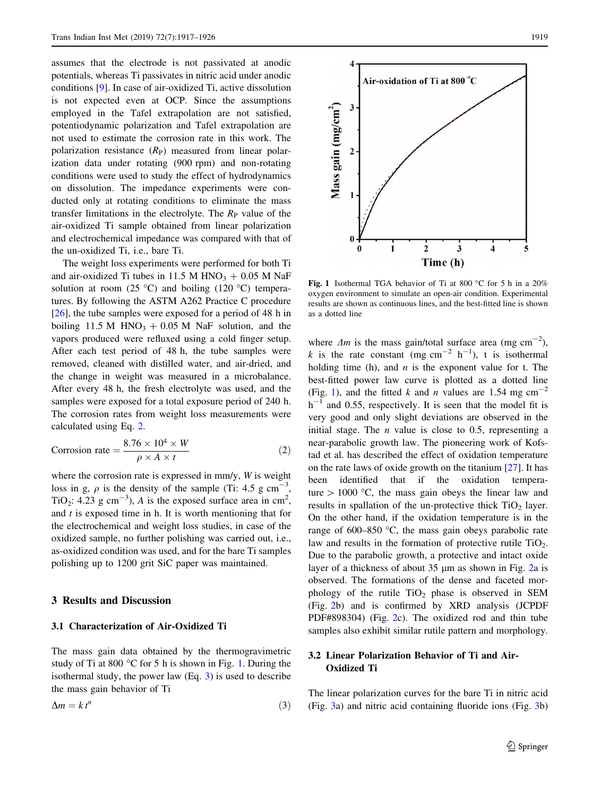assumes that the electrode is not passivated at anodic potentials, whereas Ti passivates in nitric acid under anodic conditions [[9\]](#page-9-0). In case of air-oxidized Ti, active dissolution is not expected even at OCP. Since the assumptions employed in the Tafel extrapolation are not satisfied, potentiodynamic polarization and Tafel extrapolation are not used to estimate the corrosion rate in this work. The polarization resistance  $(R_P)$  measured from linear polarization data under rotating (900 rpm) and non-rotating conditions were used to study the effect of hydrodynamics on dissolution. The impedance experiments were conducted only at rotating conditions to eliminate the mass transfer limitations in the electrolyte. The  $R<sub>P</sub>$  value of the air-oxidized Ti sample obtained from linear polarization and electrochemical impedance was compared with that of the un-oxidized Ti, i.e., bare Ti.

The weight loss experiments were performed for both Ti and air-oxidized Ti tubes in 11.5 M HNO<sub>3</sub> + 0.05 M NaF solution at room (25 °C) and boiling (120 °C) temperatures. By following the ASTM A262 Practice C procedure [\[26](#page-9-0)], the tube samples were exposed for a period of 48 h in boiling 11.5 M HNO<sub>3</sub> + 0.05 M NaF solution, and the vapors produced were refluxed using a cold finger setup. After each test period of 48 h, the tube samples were removed, cleaned with distilled water, and air-dried, and the change in weight was measured in a microbalance. After every 48 h, the fresh electrolyte was used, and the samples were exposed for a total exposure period of 240 h. The corrosion rates from weight loss measurements were calculated using Eq. 2.

Corrosion rate 
$$
= \frac{8.76 \times 10^4 \times W}{\rho \times A \times t}
$$
 (2)

where the corrosion rate is expressed in mm/y, W is weight loss in g,  $\rho$  is the density of the sample (Ti: 4.5 g cm<sup>-3</sup>, TiO<sub>2</sub>: 4.23 g cm<sup>-3</sup>), A is the exposed surface area in cm<sup>2</sup>, and  $t$  is exposed time in h. It is worth mentioning that for the electrochemical and weight loss studies, in case of the oxidized sample, no further polishing was carried out, i.e., as-oxidized condition was used, and for the bare Ti samples polishing up to 1200 grit SiC paper was maintained.

#### 3 Results and Discussion

#### 3.1 Characterization of Air-Oxidized Ti

The mass gain data obtained by the thermogravimetric study of Ti at 800  $\degree$ C for 5 h is shown in Fig. 1. During the isothermal study, the power law (Eq. 3) is used to describe the mass gain behavior of Ti

$$
\Delta m = k \, t^n \tag{3}
$$



Fig. 1 Isothermal TGA behavior of Ti at 800  $^{\circ}$ C for 5 h in a 20% oxygen environment to simulate an open-air condition. Experimental results are shown as continuous lines, and the best-fitted line is shown as a dotted line

where  $\Delta m$  is the mass gain/total surface area (mg cm<sup>-2</sup>), k is the rate constant (mg cm<sup>-2</sup> h<sup>-1</sup>), t is isothermal holding time (h), and  $n$  is the exponent value for t. The best-fitted power law curve is plotted as a dotted line (Fig. 1), and the fitted k and n values are 1.54 mg  $cm^{-2}$  $h^{-1}$  and 0.55, respectively. It is seen that the model fit is very good and only slight deviations are observed in the initial stage. The  $n$  value is close to 0.5, representing a near-parabolic growth law. The pioneering work of Kofstad et al. has described the effect of oxidation temperature on the rate laws of oxide growth on the titanium  $[27]$  $[27]$ . It has been identified that if the oxidation temperature  $> 1000$  °C, the mass gain obeys the linear law and results in spallation of the un-protective thick  $TiO<sub>2</sub>$  layer. On the other hand, if the oxidation temperature is in the range of 600–850  $\degree$ C, the mass gain obeys parabolic rate law and results in the formation of protective rutile  $TiO<sub>2</sub>$ . Due to the parabolic growth, a protective and intact oxide layer of a thickness of about 35 µm as shown in Fig. [2](#page-3-0)a is observed. The formations of the dense and faceted morphology of the rutile  $TiO<sub>2</sub>$  phase is observed in SEM (Fig. [2b](#page-3-0)) and is confirmed by XRD analysis (JCPDF PDF#898304) (Fig. [2c](#page-3-0)). The oxidized rod and thin tube samples also exhibit similar rutile pattern and morphology.

# 3.2 Linear Polarization Behavior of Ti and Air-Oxidized Ti

The linear polarization curves for the bare Ti in nitric acid (Fig. [3a](#page-3-0)) and nitric acid containing fluoride ions (Fig. [3b](#page-3-0))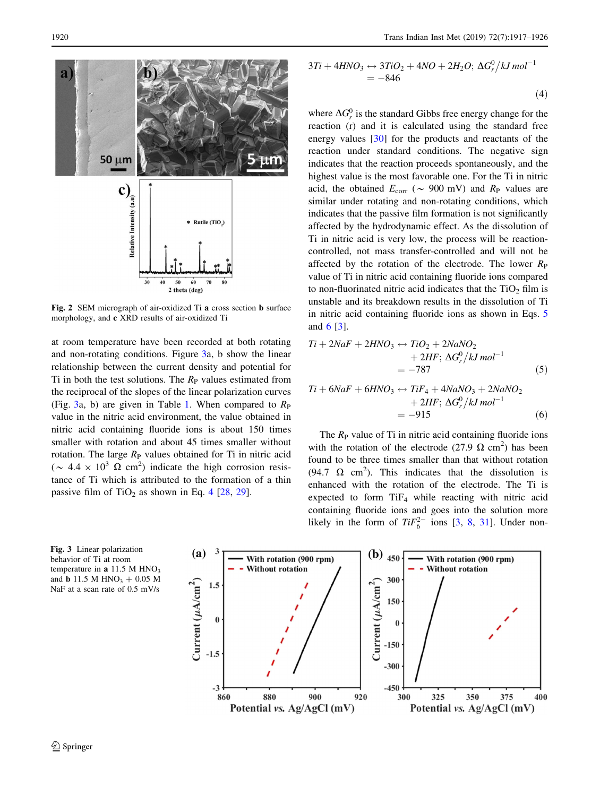<span id="page-3-0"></span>

Fig. 2 SEM micrograph of air-oxidized Ti a cross section b surface morphology, and c XRD results of air-oxidized Ti

at room temperature have been recorded at both rotating and non-rotating conditions. Figure 3a, b show the linear relationship between the current density and potential for Ti in both the test solutions. The  $R<sub>P</sub>$  values estimated from the reciprocal of the slopes of the linear polarization curves (Fig. 3a, b) are given in Table [1](#page-4-0). When compared to  $R_{\rm P}$ value in the nitric acid environment, the value obtained in nitric acid containing fluoride ions is about 150 times smaller with rotation and about 45 times smaller without rotation. The large  $R<sub>P</sub>$  values obtained for Ti in nitric acid ( $\sim 4.4 \times 10^3 \Omega \text{ cm}^2$ ) indicate the high corrosion resistance of Ti which is attributed to the formation of a thin passive film of  $TiO<sub>2</sub>$  as shown in Eq. 4 [[28,](#page-9-0) [29](#page-9-0)].

$$
3Ti + 4HNO3 \leftrightarrow 3TiO2 + 4NO + 2H2O; \Delta Gr0/kJ mol-1
$$
  
= -846 (4)

where  $\Delta G_r^0$  is the standard Gibbs free energy change for the reaction (r) and it is calculated using the standard free energy values [\[30](#page-9-0)] for the products and reactants of the reaction under standard conditions. The negative sign indicates that the reaction proceeds spontaneously, and the highest value is the most favorable one. For the Ti in nitric acid, the obtained  $E_{\text{corr}}$  ( $\sim$  900 mV) and  $R_{\text{P}}$  values are similar under rotating and non-rotating conditions, which indicates that the passive film formation is not significantly affected by the hydrodynamic effect. As the dissolution of Ti in nitric acid is very low, the process will be reactioncontrolled, not mass transfer-controlled and will not be affected by the rotation of the electrode. The lower  $R_{\rm P}$ value of Ti in nitric acid containing fluoride ions compared to non-fluorinated nitric acid indicates that the  $TiO<sub>2</sub>$  film is unstable and its breakdown results in the dissolution of Ti in nitric acid containing fluoride ions as shown in Eqs. 5 and 6 [[3\]](#page-9-0).

$$
Ti + 2NaF + 2HNO3 \leftrightarrow TiO2 + 2NaNO2
$$
  
+ 2HF;  $\Delta G_r^0 / kJ$  mol<sup>-1</sup>  
= -787 (5)

$$
Ti + 6NaF + 6HNO3 \leftrightarrow TIF4 + 4NaNO3 + 2NaNO2
$$
  
+ 2HF;  $\Delta G_r^0 / kJ$  mol<sup>-1</sup>  
= -915 (6)

The  $R_{\rm P}$  value of Ti in nitric acid containing fluoride ions with the rotation of the electrode (27.9  $\Omega$  cm<sup>2</sup>) has been found to be three times smaller than that without rotation (94.7  $\Omega$  cm<sup>2</sup>). This indicates that the dissolution is enhanced with the rotation of the electrode. The Ti is expected to form  $TiF<sub>4</sub>$  while reacting with nitric acid containing fluoride ions and goes into the solution more likely in the form of  $TiF_6^{2-}$  ions [\[3](#page-9-0), [8](#page-9-0), [31](#page-9-0)]. Under non-

Fig. 3 Linear polarization behavior of Ti at room temperature in  $a$  11.5 M HNO<sub>3</sub> and **b** 11.5 M HNO<sub>3</sub> + 0.05 M NaF at a scan rate of 0.5 mV/s

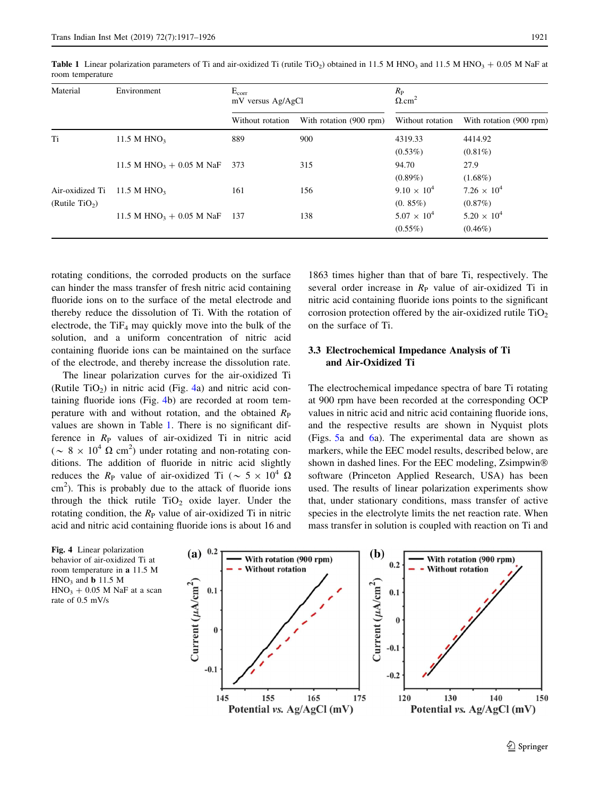| Material                   | Environment                          | $E_{corr}$<br>mV versus Ag/AgCl |                         | $R_{\rm P}$<br>$\Omega.cm^2$ |                         |  |
|----------------------------|--------------------------------------|---------------------------------|-------------------------|------------------------------|-------------------------|--|
|                            |                                      | Without rotation                | With rotation (900 rpm) | Without rotation             | With rotation (900 rpm) |  |
| Ti                         | 11.5 M HNO <sub>3</sub>              | 889                             | 900                     | 4319.33                      | 4414.92                 |  |
|                            |                                      |                                 |                         | $(0.53\%)$                   | $(0.81\%)$              |  |
|                            | 11.5 M HNO <sub>3</sub> + 0.05 M NaF | 373                             | 315                     | 94.70                        | 27.9                    |  |
|                            |                                      |                                 |                         | $(0.89\%)$                   | $(1.68\%)$              |  |
| Air-oxidized Ti            | 11.5 M $HNO3$                        | 161                             | 156                     | $9.10 \times 10^{4}$         | $7.26 \times 10^{4}$    |  |
| (Rutile TiO <sub>2</sub> ) |                                      |                                 |                         | $(0.85\%)$                   | $(0.87\%)$              |  |
|                            | 11.5 M HNO <sub>3</sub> + 0.05 M NaF | 137                             | 138                     | $5.07 \times 10^{4}$         | $5.20 \times 10^{4}$    |  |
|                            |                                      |                                 |                         | $(0.55\%)$                   | $(0.46\%)$              |  |

<span id="page-4-0"></span>Table 1 Linear polarization parameters of Ti and air-oxidized Ti (rutile TiO<sub>2</sub>) obtained in 11.5 M HNO<sub>3</sub> and 11.5 M HNO<sub>3</sub> + 0.05 M NaF at room temperature

rotating conditions, the corroded products on the surface can hinder the mass transfer of fresh nitric acid containing fluoride ions on to the surface of the metal electrode and thereby reduce the dissolution of Ti. With the rotation of electrode, the  $TiF_4$  may quickly move into the bulk of the solution, and a uniform concentration of nitric acid containing fluoride ions can be maintained on the surface of the electrode, and thereby increase the dissolution rate.

The linear polarization curves for the air-oxidized Ti (Rutile TiO<sub>2</sub>) in nitric acid (Fig. 4a) and nitric acid containing fluoride ions (Fig. 4b) are recorded at room temperature with and without rotation, and the obtained  $R_{\rm P}$ values are shown in Table 1. There is no significant difference in  $R_{\rm P}$  values of air-oxidized Ti in nitric acid ( $\sim 8 \times 10^4 \Omega \text{ cm}^2$ ) under rotating and non-rotating conditions. The addition of fluoride in nitric acid slightly reduces the R<sub>P</sub> value of air-oxidized Ti ( $\sim 5 \times 10^4$   $\Omega$ )  $\text{cm}^2$ ). This is probably due to the attack of fluoride ions through the thick rutile  $TiO<sub>2</sub>$  oxide layer. Under the rotating condition, the  $R_{P}$  value of air-oxidized Ti in nitric acid and nitric acid containing fluoride ions is about 16 and

1863 times higher than that of bare Ti, respectively. The several order increase in  $R<sub>P</sub>$  value of air-oxidized Ti in nitric acid containing fluoride ions points to the significant corrosion protection offered by the air-oxidized rutile  $TiO<sub>2</sub>$ on the surface of Ti.

# 3.3 Electrochemical Impedance Analysis of Ti and Air-Oxidized Ti

The electrochemical impedance spectra of bare Ti rotating at 900 rpm have been recorded at the corresponding OCP values in nitric acid and nitric acid containing fluoride ions, and the respective results are shown in Nyquist plots (Figs. [5](#page-5-0)a and [6a](#page-5-0)). The experimental data are shown as markers, while the EEC model results, described below, are shown in dashed lines. For the EEC modeling, Zsimpwin<sup>®</sup> software (Princeton Applied Research, USA) has been used. The results of linear polarization experiments show that, under stationary conditions, mass transfer of active species in the electrolyte limits the net reaction rate. When mass transfer in solution is coupled with reaction on Ti and

Fig. 4 Linear polarization behavior of air-oxidized Ti at room temperature in a 11.5 M  $HNO<sub>3</sub>$  and **b** 11.5 M  $HNO<sub>3</sub> + 0.05 M NaF$  at a scan rate of 0.5 mV/s

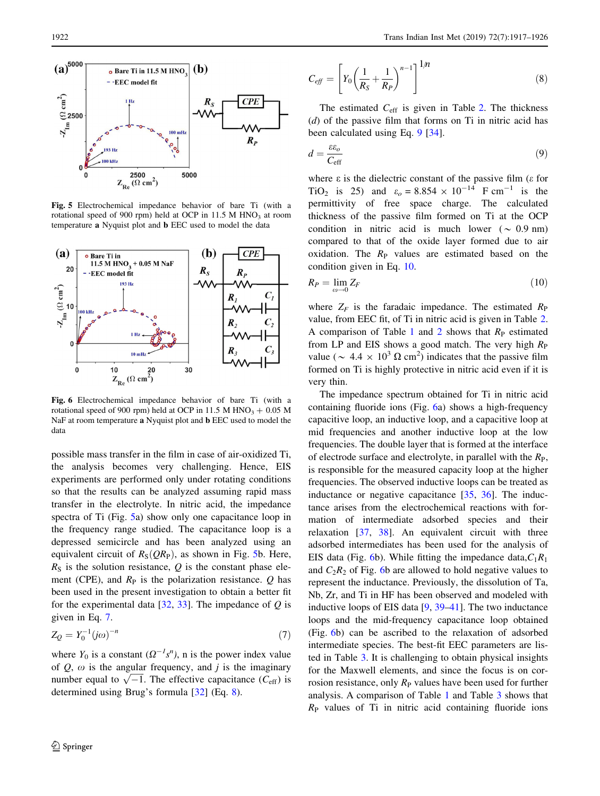<span id="page-5-0"></span>

Fig. 5 Electrochemical impedance behavior of bare Ti (with a rotational speed of 900 rpm) held at OCP in  $11.5$  M HNO<sub>3</sub> at room temperature a Nyquist plot and b EEC used to model the data



Fig. 6 Electrochemical impedance behavior of bare Ti (with a rotational speed of 900 rpm) held at OCP in 11.5 M  $HNO<sub>3</sub> + 0.05 M$ NaF at room temperature a Nyquist plot and b EEC used to model the data

possible mass transfer in the film in case of air-oxidized Ti, the analysis becomes very challenging. Hence, EIS experiments are performed only under rotating conditions so that the results can be analyzed assuming rapid mass transfer in the electrolyte. In nitric acid, the impedance spectra of Ti (Fig. 5a) show only one capacitance loop in the frequency range studied. The capacitance loop is a depressed semicircle and has been analyzed using an equivalent circuit of  $R_S(QR_P)$ , as shown in Fig. 5b. Here,  $R<sub>S</sub>$  is the solution resistance, Q is the constant phase element (CPE), and  $R<sub>P</sub>$  is the polarization resistance. Q has been used in the present investigation to obtain a better fit for the experimental data  $[32, 33]$  $[32, 33]$  $[32, 33]$  $[32, 33]$ . The impedance of Q is given in Eq. 7.

$$
Z_Q = Y_0^{-1} (j\omega)^{-n}
$$
 (7)

where  $Y_0$  is a constant  $(\Omega^{-1} s^n)$ , n is the power index value of  $Q$ ,  $\omega$  is the angular frequency, and j is the imaginary or  $Q$ ,  $\omega$  is the angular frequency, and f is the imaginary<br>number equal to  $\sqrt{-1}$ . The effective capacitance ( $C_{\text{eff}}$ ) is determined using Brug's formula [\[32](#page-9-0)] (Eq. 8).

$$
C_{\text{eff}} = \left[ Y_0 \left( \frac{1}{R_S} + \frac{1}{R_P} \right)^{n-1} \right]^{1/n} \tag{8}
$$

The estimated  $C_{\text{eff}}$  is given in Table [2](#page-6-0). The thickness  $(d)$  of the passive film that forms on Ti in nitric acid has been calculated using Eq. 9 [[34\]](#page-9-0).

$$
d = \frac{\varepsilon \varepsilon_o}{C_{\text{eff}}} \tag{9}
$$

where  $\varepsilon$  is the dielectric constant of the passive film ( $\varepsilon$  for TiO<sub>2</sub> is 25) and  $\varepsilon_o = 8.854 \times 10^{-14}$  F cm<sup>-1</sup> is the permittivity of free space charge. The calculated thickness of the passive film formed on Ti at the OCP condition in nitric acid is much lower ( $\sim$  0.9 nm) compared to that of the oxide layer formed due to air oxidation. The  $R_{P}$  values are estimated based on the condition given in Eq. 10.

$$
R_P = \lim_{\omega \to 0} Z_F \tag{10}
$$

where  $Z_F$  is the faradaic impedance. The estimated  $R_P$ value, from EEC fit, of Ti in nitric acid is given in Table [2.](#page-6-0) A comparison of Table [1](#page-4-0) and [2](#page-6-0) shows that  $R<sub>P</sub>$  estimated from LP and EIS shows a good match. The very high  $R<sub>P</sub>$ value ( $\sim 4.4 \times 10^3 \Omega \text{ cm}^2$ ) indicates that the passive film formed on Ti is highly protective in nitric acid even if it is very thin.

The impedance spectrum obtained for Ti in nitric acid containing fluoride ions (Fig. 6a) shows a high-frequency capacitive loop, an inductive loop, and a capacitive loop at mid frequencies and another inductive loop at the low frequencies. The double layer that is formed at the interface of electrode surface and electrolyte, in parallel with the  $R_{\rm P}$ , is responsible for the measured capacity loop at the higher frequencies. The observed inductive loops can be treated as inductance or negative capacitance [[35,](#page-9-0) [36\]](#page-9-0). The inductance arises from the electrochemical reactions with formation of intermediate adsorbed species and their relaxation [[37,](#page-9-0) [38](#page-9-0)]. An equivalent circuit with three adsorbed intermediates has been used for the analysis of EIS data (Fig. 6b). While fitting the impedance data,  $C_1R_1$ and  $C_2R_2$  of Fig. 6b are allowed to hold negative values to represent the inductance. Previously, the dissolution of Ta, Nb, Zr, and Ti in HF has been observed and modeled with inductive loops of EIS data  $[9, 39-41]$  $[9, 39-41]$  $[9, 39-41]$ . The two inductance loops and the mid-frequency capacitance loop obtained (Fig. 6b) can be ascribed to the relaxation of adsorbed intermediate species. The best-fit EEC parameters are listed in Table [3](#page-6-0). It is challenging to obtain physical insights for the Maxwell elements, and since the focus is on corrosion resistance, only  $R<sub>P</sub>$  values have been used for further analysis. A comparison of Table [1](#page-4-0) and Table [3](#page-6-0) shows that  $R<sub>P</sub>$  values of Ti in nitric acid containing fluoride ions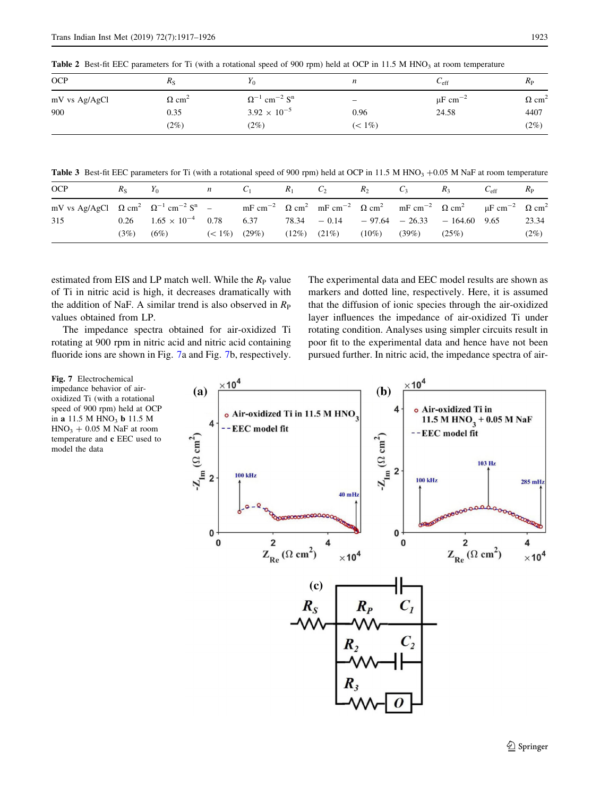| <b>OCP</b>    | $R_{\rm S}$              | $\mathbf{r}_0$                                | n                 | $\mathsf{c}_{\text{eff}}$ | $R_{\rm P}$              |
|---------------|--------------------------|-----------------------------------------------|-------------------|---------------------------|--------------------------|
| mV vs Ag/AgCl | $\Omega$ cm <sup>2</sup> | $\Omega^{-1}$ cm <sup>-2</sup> S <sup>n</sup> | $\qquad \qquad -$ | $\mu$ F cm <sup>-2</sup>  | $\Omega$ cm <sup>2</sup> |
| 900           | 0.35                     | $3.92 \times 10^{-5}$                         | 0.96              | 24.58                     | 4407                     |
|               | (2%)                     | (2%)                                          | $(< 1\%)$         |                           | (2%)                     |

<span id="page-6-0"></span>**Table 2** Best-fit EEC parameters for Ti (with a rotational speed of 900 rpm) held at OCP in 11.5 M HNO<sub>3</sub> at room temperature

Table 3 Best-fit EEC parameters for Ti (with a rotational speed of 900 rpm) held at OCP in 11.5 M HNO<sub>3</sub> +0.05 M NaF at room temperature

| <b>OCP</b>                                                                             | $R_{\rm S}$ | $Y_0$                             | $n$ $C_1$       |      | $R_1$ | $C_2$             | $R_2$             | $C_3$ | $R_3$                                                                                                          | $C_{\rm eff}$ | $R_{\rm P}$ |
|----------------------------------------------------------------------------------------|-------------|-----------------------------------|-----------------|------|-------|-------------------|-------------------|-------|----------------------------------------------------------------------------------------------------------------|---------------|-------------|
| mV vs Ag/AgCl $\Omega$ cm <sup>2</sup> $\Omega^{-1}$ cm <sup>-2</sup> S <sup>n</sup> – |             |                                   |                 |      |       |                   |                   |       | $mF cm^{-2}$ $\Omega cm^2$ $mF cm^{-2}$ $\Omega cm^2$ $mF cm^{-2}$ $\Omega cm^2$ $\mu F cm^{-2}$ $\Omega cm^2$ |               |             |
| 315                                                                                    |             | $0.26$ $1.65 \times 10^{-4}$ 0.78 |                 | 6.37 |       |                   |                   |       | $78.34 - 0.14 - 97.64 - 26.33 - 164.60$ 9.65                                                                   |               | 23.34       |
|                                                                                        | (3%)        | (6%)                              | $(< 1\%)$ (29%) |      |       | $(12\%)$ $(21\%)$ | $(10\%)$ $(39\%)$ |       | (25%)                                                                                                          |               | $(2\%)$     |

estimated from EIS and LP match well. While the  $R<sub>P</sub>$  value of Ti in nitric acid is high, it decreases dramatically with the addition of NaF. A similar trend is also observed in  $R<sub>P</sub>$ values obtained from LP.

The impedance spectra obtained for air-oxidized Ti rotating at 900 rpm in nitric acid and nitric acid containing fluoride ions are shown in Fig. 7a and Fig. 7b, respectively.

The experimental data and EEC model results are shown as markers and dotted line, respectively. Here, it is assumed that the diffusion of ionic species through the air-oxidized layer influences the impedance of air-oxidized Ti under rotating condition. Analyses using simpler circuits result in poor fit to the experimental data and hence have not been pursued further. In nitric acid, the impedance spectra of air-



impedance behavior of airoxidized Ti (with a rotational speed of 900 rpm) held at OCP in a  $11.5 M HNO<sub>3</sub> b 11.5 M$  $HNO<sub>3</sub> + 0.05 M NaF$  at room temperature and c EEC used to model the data

Fig. 7 Electrochemical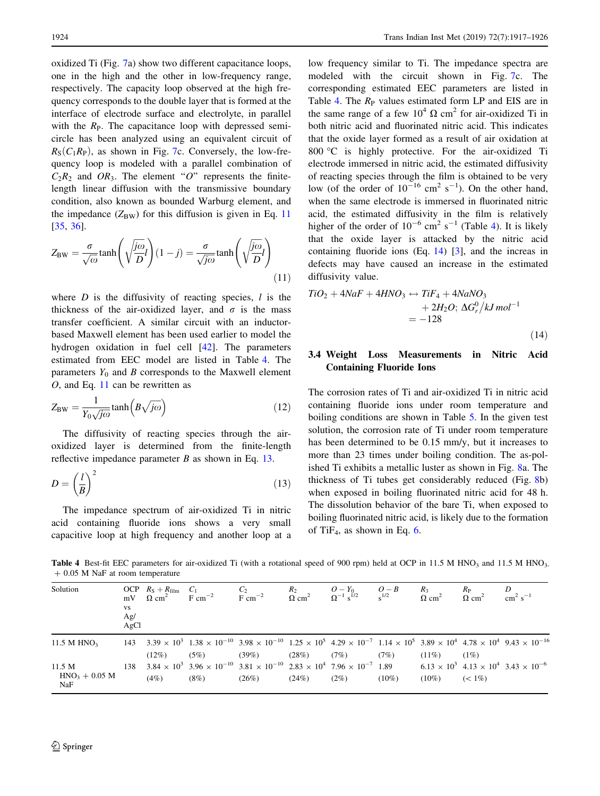<span id="page-7-0"></span>oxidized Ti (Fig. [7a](#page-6-0)) show two different capacitance loops, one in the high and the other in low-frequency range, respectively. The capacity loop observed at the high frequency corresponds to the double layer that is formed at the interface of electrode surface and electrolyte, in parallel with the  $R<sub>P</sub>$ . The capacitance loop with depressed semicircle has been analyzed using an equivalent circuit of  $R_S(C_1R_P)$ , as shown in Fig. [7](#page-6-0)c. Conversely, the low-frequency loop is modeled with a parallel combination of  $C_2R_2$  and  $OR_3$ . The element "O" represents the finitelength linear diffusion with the transmissive boundary condition, also known as bounded Warburg element, and the impedance  $(Z_{BW})$  for this diffusion is given in Eq. 11 [\[35](#page-9-0), [36](#page-9-0)].

$$
Z_{\rm BW} = \frac{\sigma}{\sqrt{\omega}} \tanh\left(\sqrt{\frac{j\omega}{D}}l\right)(1-j) = \frac{\sigma}{\sqrt{j\omega}} \tanh\left(\sqrt{\frac{j\omega}{D}}l\right)
$$
\n(11)

where  $D$  is the diffusivity of reacting species,  $l$  is the thickness of the air-oxidized layer, and  $\sigma$  is the mass transfer coefficient. A similar circuit with an inductorbased Maxwell element has been used earlier to model the hydrogen oxidation in fuel cell [[42\]](#page-9-0). The parameters estimated from EEC model are listed in Table 4. The parameters  $Y_0$  and B corresponds to the Maxwell element  $O$ , and Eq. 11 can be rewritten as

$$
Z_{\rm BW} = \frac{1}{Y_0\sqrt{j\omega}}\tanh\left(B\sqrt{j\omega}\right) \tag{12}
$$

The diffusivity of reacting species through the airoxidized layer is determined from the finite-length reflective impedance parameter  $B$  as shown in Eq. 13.

$$
D = \left(\frac{l}{B}\right)^2\tag{13}
$$

The impedance spectrum of air-oxidized Ti in nitric acid containing fluoride ions shows a very small capacitive loop at high frequency and another loop at a low frequency similar to Ti. The impedance spectra are modeled with the circuit shown in Fig. [7](#page-6-0)c. The corresponding estimated EEC parameters are listed in Table 4. The  $R<sub>P</sub>$  values estimated form LP and EIS are in the same range of a few  $10^4 \Omega \text{ cm}^2$  for air-oxidized Ti in both nitric acid and fluorinated nitric acid. This indicates that the oxide layer formed as a result of air oxidation at 800 °C is highly protective. For the air-oxidized Ti electrode immersed in nitric acid, the estimated diffusivity of reacting species through the film is obtained to be very low (of the order of  $10^{-16}$  cm<sup>2</sup> s<sup>-1</sup>). On the other hand, when the same electrode is immersed in fluorinated nitric acid, the estimated diffusivity in the film is relatively higher of the order of  $10^{-6}$  cm<sup>2</sup> s<sup>-1</sup> (Table 4). It is likely that the oxide layer is attacked by the nitric acid containing fluoride ions (Eq. 14) [[3\]](#page-9-0), and the increas in defects may have caused an increase in the estimated diffusivity value.

$$
TiO2 + 4NaF + 4HNO3 \leftrightarrow TiF4 + 4NaNO3
$$
  
+ 2H<sub>2</sub>O;  $\Delta Gr0/kJ mol-1$   
= -128 (14)

# 3.4 Weight Loss Measurements in Nitric Acid Containing Fluoride Ions

The corrosion rates of Ti and air-oxidized Ti in nitric acid containing fluoride ions under room temperature and boiling conditions are shown in Table [5.](#page-8-0) In the given test solution, the corrosion rate of Ti under room temperature has been determined to be 0.15 mm/y, but it increases to more than 23 times under boiling condition. The as-polished Ti exhibits a metallic luster as shown in Fig. [8a](#page-8-0). The thickness of Ti tubes get considerably reduced (Fig. [8b](#page-8-0)) when exposed in boiling fluorinated nitric acid for 48 h. The dissolution behavior of the bare Ti, when exposed to boiling fluorinated nitric acid, is likely due to the formation of TiF<sub>4</sub>, as shown in Eq. [6.](#page-3-0)

Table 4 Best-fit EEC parameters for air-oxidized Ti (with a rotational speed of 900 rpm) held at OCP in 11.5 M HNO<sub>3</sub> and 11.5 M HNO<sub>3</sub>.  $+$  0.05 M NaF at room temperature

| Solution                         | <b>VS</b><br>Ag/<br>AgCl |          | OCP $R_S + R_{film}$ C <sub>1</sub> C <sub>2</sub> $R_2$ O-Y <sub>0</sub> O-B $R_3$<br>mV Ω cm <sup>2</sup> F cm <sup>-2</sup> F cm <sup>-2</sup> Ω cm <sup>2</sup> Ω <sup>-1</sup> s <sup>1/2</sup> s <sup>1/2</sup> Ω cm <sup>2</sup> |       |       |         |          |          | $\frac{R_{\rm P}}{\Omega \rm \ cm^2}$ | $\frac{D}{\text{cm}^2 \text{ s}^{-1}}$ |
|----------------------------------|--------------------------|----------|-----------------------------------------------------------------------------------------------------------------------------------------------------------------------------------------------------------------------------------------|-------|-------|---------|----------|----------|---------------------------------------|----------------------------------------|
| 11.5 M $HNO3$                    |                          | $(12\%)$ | 143 $3.39 \times 10^3$ 1.38 $\times 10^{-10}$ 3.98 $\times 10^{-10}$ 1.25 $\times 10^5$ 4.29 $\times 10^{-7}$ 1.14 $\times 10^5$ 3.89 $\times 10^4$ 4.78 $\times 10^4$ 9.43 $\times 10^{-16}$<br>(5%)                                   | (39%) | (28%) | (7%)    | (7%)     | $(11\%)$ | $(1\%)$                               |                                        |
| 11.5 M<br>$HNO3 + 0.05 M$<br>NaF |                          | (4%)     | 138 $3.84 \times 10^3$ $3.96 \times 10^{-10}$ $3.81 \times 10^{-10}$ $2.83 \times 10^4$ $7.96 \times 10^{-7}$ $1.89$ 6.13 $\times 10^3$ 4.13 $\times 10^4$ 3.43 $\times 10^{-6}$<br>$(8\%)$                                             | (26%) | (24%) | $(2\%)$ | $(10\%)$ | $(10\%)$ | $(< 1\%)$                             |                                        |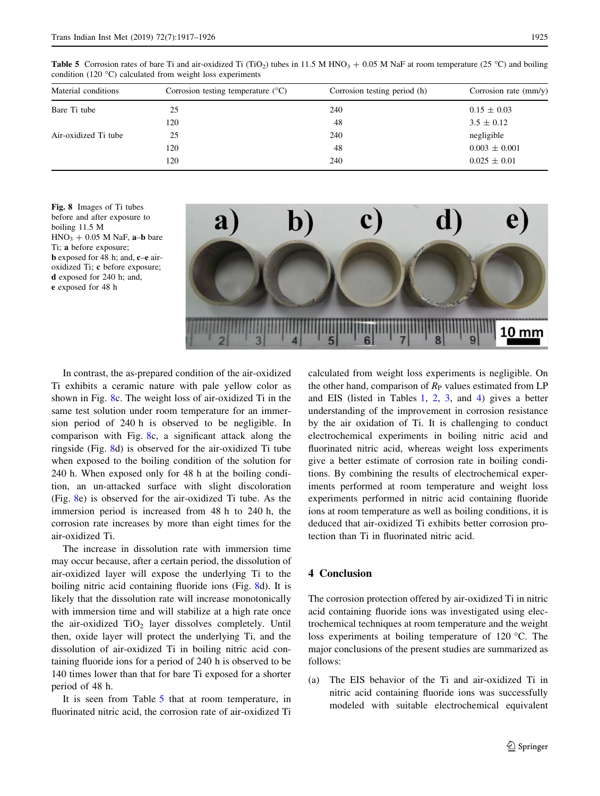| Material conditions  | Corrosion testing temperature $({}^{\circ}C)$ | Corrosion testing period (h) | Corrosion rate $\text{(mm/y)}$ |
|----------------------|-----------------------------------------------|------------------------------|--------------------------------|
| Bare Ti tube         | 25                                            | 240                          | $0.15 \pm 0.03$                |
|                      | 120                                           | 48                           | $3.5 \pm 0.12$                 |
| Air-oxidized Ti tube | 25                                            | 240                          | negligible                     |
|                      | 120                                           | 48                           | $0.003 \pm 0.001$              |
|                      | 120                                           | 240                          | $0.025 \pm 0.01$               |
|                      |                                               |                              |                                |

<span id="page-8-0"></span>**Table 5** Corrosion rates of bare Ti and air-oxidized Ti (TiO<sub>2</sub>) tubes in 11.5 M HNO<sub>3</sub> + 0.05 M NaF at room temperature (25 °C) and boiling condition (120 $\degree$ C) calculated from weight loss experiments

Fig. 8 Images of Ti tubes before and after exposure to boiling 11.5 M  $HNO<sub>3</sub> + 0.05 M NaF$ , a-b bare Ti; a before exposure; b exposed for 48 h; and, c–e airoxidized Ti; c before exposure; d exposed for 240 h; and, e exposed for 48 h



In contrast, the as-prepared condition of the air-oxidized Ti exhibits a ceramic nature with pale yellow color as shown in Fig. 8c. The weight loss of air-oxidized Ti in the same test solution under room temperature for an immersion period of 240 h is observed to be negligible. In comparison with Fig. 8c, a significant attack along the ringside (Fig. 8d) is observed for the air-oxidized Ti tube when exposed to the boiling condition of the solution for 240 h. When exposed only for 48 h at the boiling condition, an un-attacked surface with slight discoloration (Fig. 8e) is observed for the air-oxidized Ti tube. As the immersion period is increased from 48 h to 240 h, the corrosion rate increases by more than eight times for the air-oxidized Ti.

The increase in dissolution rate with immersion time may occur because, after a certain period, the dissolution of air-oxidized layer will expose the underlying Ti to the boiling nitric acid containing fluoride ions (Fig. 8d). It is likely that the dissolution rate will increase monotonically with immersion time and will stabilize at a high rate once the air-oxidized  $TiO<sub>2</sub>$  layer dissolves completely. Until then, oxide layer will protect the underlying Ti, and the dissolution of air-oxidized Ti in boiling nitric acid containing fluoride ions for a period of 240 h is observed to be 140 times lower than that for bare Ti exposed for a shorter period of 48 h.

It is seen from Table 5 that at room temperature, in fluorinated nitric acid, the corrosion rate of air-oxidized Ti calculated from weight loss experiments is negligible. On the other hand, comparison of  $R<sub>P</sub>$  values estimated from LP and EIS (listed in Tables [1](#page-4-0), [2,](#page-6-0) [3,](#page-6-0) and [4](#page-7-0)) gives a better understanding of the improvement in corrosion resistance by the air oxidation of Ti. It is challenging to conduct electrochemical experiments in boiling nitric acid and fluorinated nitric acid, whereas weight loss experiments give a better estimate of corrosion rate in boiling conditions. By combining the results of electrochemical experiments performed at room temperature and weight loss experiments performed in nitric acid containing fluoride ions at room temperature as well as boiling conditions, it is deduced that air-oxidized Ti exhibits better corrosion protection than Ti in fluorinated nitric acid.

### 4 Conclusion

The corrosion protection offered by air-oxidized Ti in nitric acid containing fluoride ions was investigated using electrochemical techniques at room temperature and the weight loss experiments at boiling temperature of 120 °C. The major conclusions of the present studies are summarized as follows:

(a) The EIS behavior of the Ti and air-oxidized Ti in nitric acid containing fluoride ions was successfully modeled with suitable electrochemical equivalent